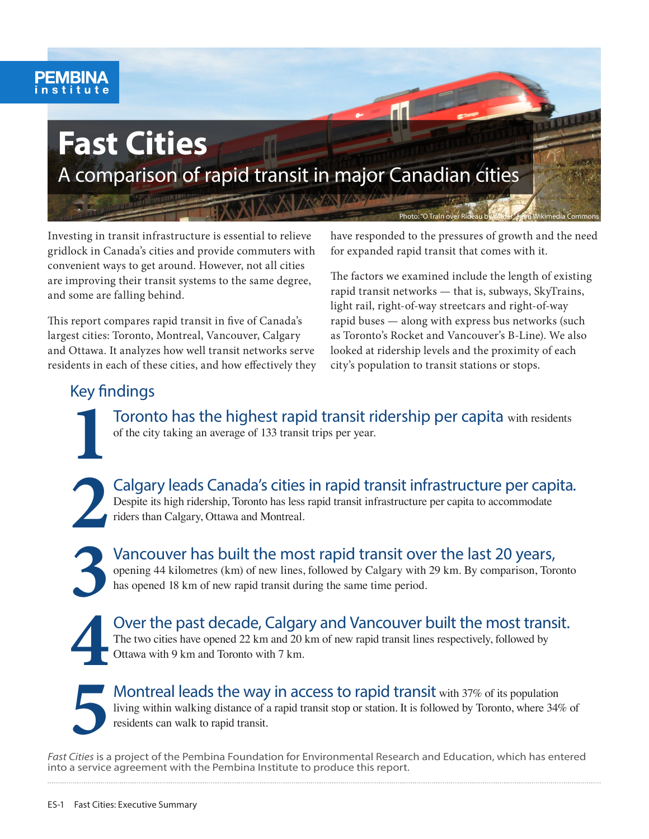# **Fast Cities**

A comparison of rapid transit in major Canadian cities

Investing in transit infrastructure is essential to relieve gridlock in Canada's cities and provide commuters with convenient ways to get around. However, not all cities are improving their transit systems to the same degree, and some are falling behind.

This report compares rapid transit in five of Canada's largest cities: Toronto, Montreal, Vancouver, Calgary and Ottawa. It analyzes how well transit networks serve residents in each of these cities, and how effectively they have responded to the pressures of growth and the need for expanded rapid transit that comes with it.

Photo: "O Train over Rideau by Wilder" from Wikimedia Commons

The factors we examined include the length of existing rapid transit networks — that is, subways, SkyTrains, light rail, right-of-way streetcars and right-of-way rapid buses — along with express bus networks (such as Toronto's Rocket and Vancouver's B-Line). We also looked at ridership levels and the proximity of each city's population to transit stations or stops.

### Key findings

**1**Toronto has the highest rapid transit ridership per capita with residents of the city taking an average of 133 transit trips per year.

Calgary leads Canada's cities in rapid transit infrastructure per capita.<br>
Despite its high ridership, Toronto has less rapid transit infrastructure per capita to accommodate<br>
riders than Calgary, Ottawa and Montreal.<br>
Van Despite its high ridership, Toronto has less rapid transit infrastructure per capita to accommodate riders than Calgary, Ottawa and Montreal.

Vancouver has built the most rapid transit over the last 20 years, opening 44 kilometres (km) of new lines, followed by Calgary with 29 km. By comparison, Toro has opened 18 km of new rapid transit during the same time per opening 44 kilometres (km) of new lines, followed by Calgary with 29 km. By comparison, Toronto has opened 18 km of new rapid transit during the same time period.

Over the past decade, Calgary and Vancouver built the most transit.<br>The two cities have opened 22 km and 20 km of new rapid transit lines respectively, followed by Ottawa with 9 km and Toronto with 7 km.

**Montreal leads the way in access to rapid transit with 37% of its population** living within walking distance of a rapid transit stop or station. It is followed by Toronto, where 34% of residents can walk to rapid transit.

*Fast Cities* is a project of the Pembina Foundation for Environmental Research and Education, which has entered into a service agreement with the Pembina Institute to produce this report.